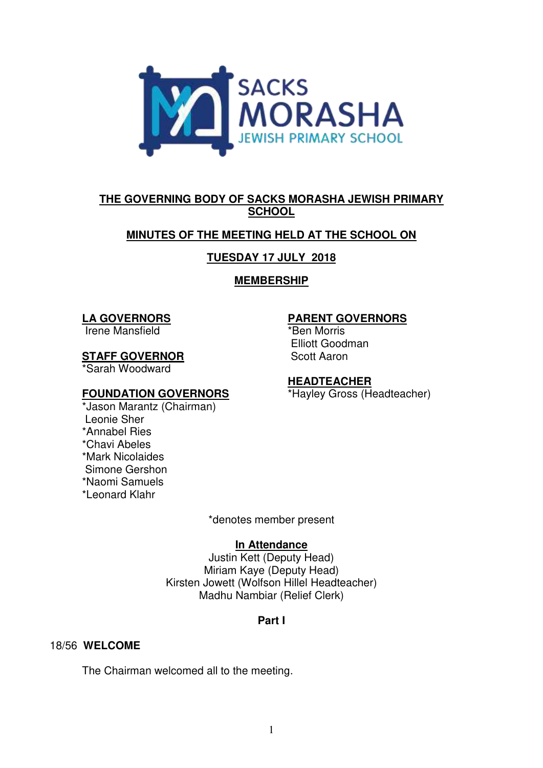

# **THE GOVERNING BODY OF SACKS MORASHA JEWISH PRIMARY SCHOOL**

# **MINUTES OF THE MEETING HELD AT THE SCHOOL ON**

# **TUESDAY 17 JULY 2018**

# **MEMBERSHIP**

## **LA GOVERNORS**

Irene Mansfield

## **STAFF GOVERNOR**

\*Sarah Woodward

## **FOUNDATION GOVERNORS**

\*Jason Marantz (Chairman) Leonie Sher \*Annabel Ries \*Chavi Abeles \*Mark Nicolaides Simone Gershon \*Naomi Samuels \*Leonard Klahr

## **PARENT GOVERNORS**

\*Ben Morris Elliott Goodman Scott Aaron

## **HEADTEACHER**

\*Hayley Gross (Headteacher)

\*denotes member present

## **In Attendance**

Justin Kett (Deputy Head) Miriam Kaye (Deputy Head) Kirsten Jowett (Wolfson Hillel Headteacher) Madhu Nambiar (Relief Clerk)

## **Part I**

## 18/56 **WELCOME**

The Chairman welcomed all to the meeting.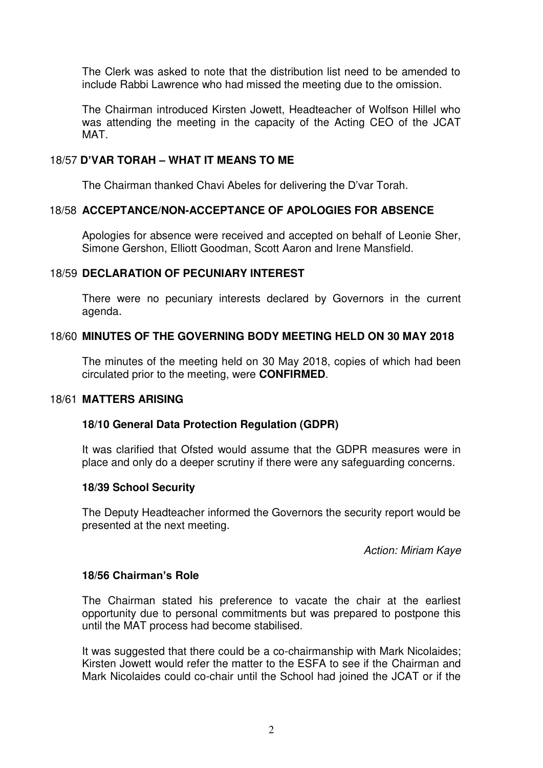The Clerk was asked to note that the distribution list need to be amended to include Rabbi Lawrence who had missed the meeting due to the omission.

The Chairman introduced Kirsten Jowett, Headteacher of Wolfson Hillel who was attending the meeting in the capacity of the Acting CEO of the JCAT MAT.

### 18/57 **D'VAR TORAH – WHAT IT MEANS TO ME**

The Chairman thanked Chavi Abeles for delivering the D'var Torah.

#### 18/58 **ACCEPTANCE/NON-ACCEPTANCE OF APOLOGIES FOR ABSENCE**

Apologies for absence were received and accepted on behalf of Leonie Sher, Simone Gershon, Elliott Goodman, Scott Aaron and Irene Mansfield.

#### 18/59 **DECLARATION OF PECUNIARY INTEREST**

There were no pecuniary interests declared by Governors in the current agenda.

### 18/60 **MINUTES OF THE GOVERNING BODY MEETING HELD ON 30 MAY 2018**

The minutes of the meeting held on 30 May 2018, copies of which had been circulated prior to the meeting, were **CONFIRMED**.

#### 18/61 **MATTERS ARISING**

#### **18/10 General Data Protection Regulation (GDPR)**

It was clarified that Ofsted would assume that the GDPR measures were in place and only do a deeper scrutiny if there were any safeguarding concerns.

#### **18/39 School Security**

The Deputy Headteacher informed the Governors the security report would be presented at the next meeting.

*Action: Miriam Kaye* 

## **18/56 Chairman's Role**

The Chairman stated his preference to vacate the chair at the earliest opportunity due to personal commitments but was prepared to postpone this until the MAT process had become stabilised.

It was suggested that there could be a co-chairmanship with Mark Nicolaides; Kirsten Jowett would refer the matter to the ESFA to see if the Chairman and Mark Nicolaides could co-chair until the School had joined the JCAT or if the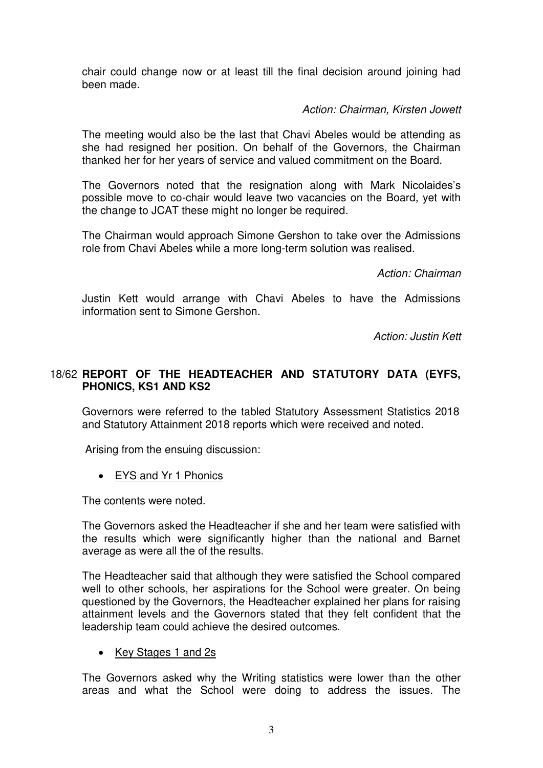chair could change now or at least till the final decision around joining had been made.

## *Action: Chairman, Kirsten Jowett*

The meeting would also be the last that Chavi Abeles would be attending as she had resigned her position. On behalf of the Governors, the Chairman thanked her for her years of service and valued commitment on the Board.

The Governors noted that the resignation along with Mark Nicolaides's possible move to co-chair would leave two vacancies on the Board, yet with the change to JCAT these might no longer be required.

The Chairman would approach Simone Gershon to take over the Admissions role from Chavi Abeles while a more long-term solution was realised.

*Action: Chairman* 

Justin Kett would arrange with Chavi Abeles to have the Admissions information sent to Simone Gershon.

*Action: Justin Kett* 

## 18/62 **REPORT OF THE HEADTEACHER AND STATUTORY DATA (EYFS, PHONICS, KS1 AND KS2**

Governors were referred to the tabled Statutory Assessment Statistics 2018 and Statutory Attainment 2018 reports which were received and noted.

Arising from the ensuing discussion:

• EYS and Yr 1 Phonics

The contents were noted.

The Governors asked the Headteacher if she and her team were satisfied with the results which were significantly higher than the national and Barnet average as were all the of the results.

The Headteacher said that although they were satisfied the School compared well to other schools, her aspirations for the School were greater. On being questioned by the Governors, the Headteacher explained her plans for raising attainment levels and the Governors stated that they felt confident that the leadership team could achieve the desired outcomes.

## • Key Stages 1 and 2s

The Governors asked why the Writing statistics were lower than the other areas and what the School were doing to address the issues. The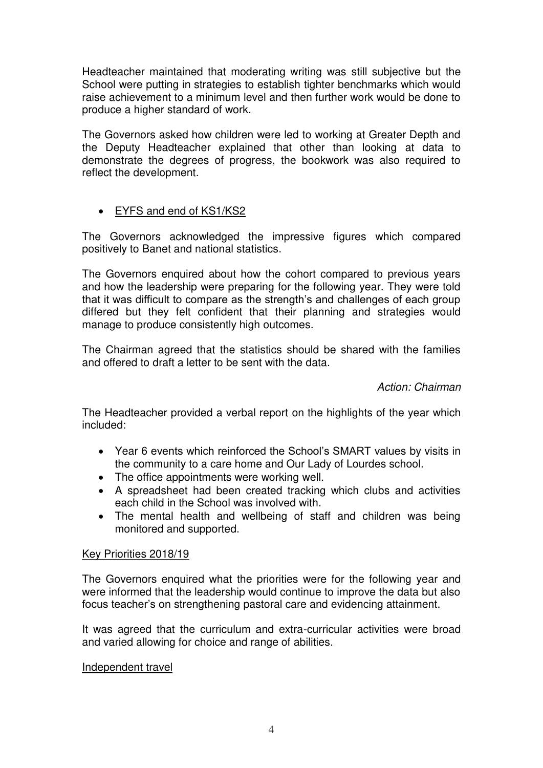Headteacher maintained that moderating writing was still subjective but the School were putting in strategies to establish tighter benchmarks which would raise achievement to a minimum level and then further work would be done to produce a higher standard of work.

The Governors asked how children were led to working at Greater Depth and the Deputy Headteacher explained that other than looking at data to demonstrate the degrees of progress, the bookwork was also required to reflect the development.

# EYFS and end of KS1/KS2

The Governors acknowledged the impressive figures which compared positively to Banet and national statistics.

The Governors enquired about how the cohort compared to previous years and how the leadership were preparing for the following year. They were told that it was difficult to compare as the strength's and challenges of each group differed but they felt confident that their planning and strategies would manage to produce consistently high outcomes.

The Chairman agreed that the statistics should be shared with the families and offered to draft a letter to be sent with the data.

*Action: Chairman* 

The Headteacher provided a verbal report on the highlights of the year which included:

- Year 6 events which reinforced the School's SMART values by visits in the community to a care home and Our Lady of Lourdes school.
- The office appointments were working well.
- A spreadsheet had been created tracking which clubs and activities each child in the School was involved with.
- The mental health and wellbeing of staff and children was being monitored and supported.

## Key Priorities 2018/19

The Governors enquired what the priorities were for the following year and were informed that the leadership would continue to improve the data but also focus teacher's on strengthening pastoral care and evidencing attainment.

It was agreed that the curriculum and extra-curricular activities were broad and varied allowing for choice and range of abilities.

## Independent travel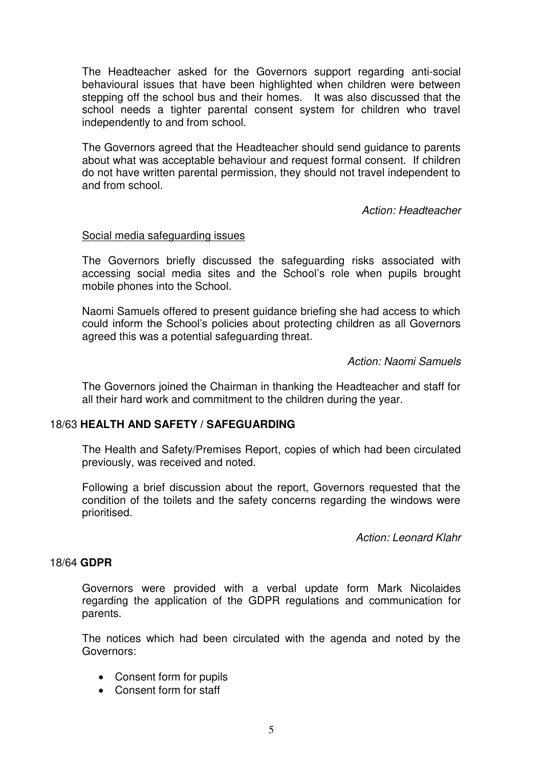The Headteacher asked for the Governors support regarding anti-social behavioural issues that have been highlighted when children were between stepping off the school bus and their homes. It was also discussed that the school needs a tighter parental consent system for children who travel independently to and from school.

The Governors agreed that the Headteacher should send guidance to parents about what was acceptable behaviour and request formal consent. If children do not have written parental permission, they should not travel independent to and from school.

*Action: Headteacher* 

### Social media safeguarding issues

The Governors briefly discussed the safeguarding risks associated with accessing social media sites and the School's role when pupils brought mobile phones into the School.

Naomi Samuels offered to present guidance briefing she had access to which could inform the School's policies about protecting children as all Governors agreed this was a potential safeguarding threat.

*Action: Naomi Samuels* 

The Governors joined the Chairman in thanking the Headteacher and staff for all their hard work and commitment to the children during the year.

## 18/63 **HEALTH AND SAFETY / SAFEGUARDING**

 The Health and Safety/Premises Report, copies of which had been circulated previously, was received and noted.

 Following a brief discussion about the report, Governors requested that the condition of the toilets and the safety concerns regarding the windows were prioritised.

*Action: Leonard Klahr* 

#### 18/64 **GDPR**

 Governors were provided with a verbal update form Mark Nicolaides regarding the application of the GDPR regulations and communication for parents.

 The notices which had been circulated with the agenda and noted by the Governors:

- Consent form for pupils
- Consent form for staff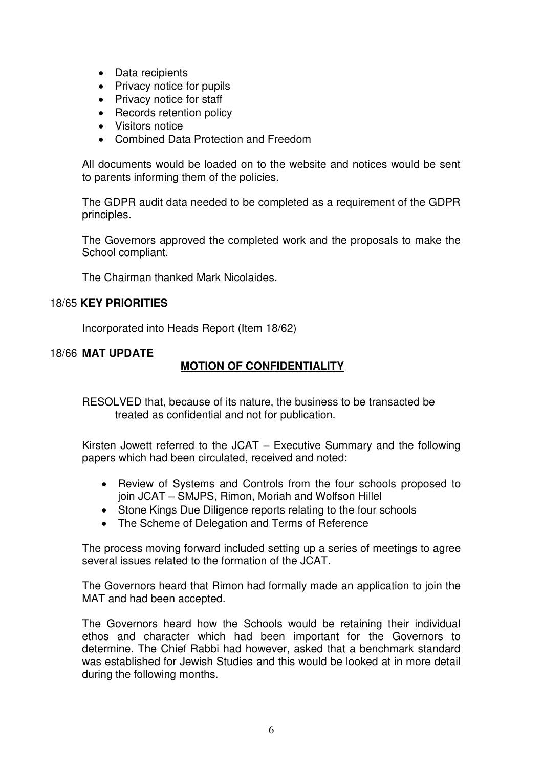- Data recipients
- Privacy notice for pupils
- Privacy notice for staff
- Records retention policy
- Visitors notice
- Combined Data Protection and Freedom

 All documents would be loaded on to the website and notices would be sent to parents informing them of the policies.

 The GDPR audit data needed to be completed as a requirement of the GDPR principles.

 The Governors approved the completed work and the proposals to make the School compliant.

The Chairman thanked Mark Nicolaides.

### 18/65 **KEY PRIORITIES**

Incorporated into Heads Report (Item 18/62)

18/66 **MAT UPDATE** 

## **MOTION OF CONFIDENTIALITY**

RESOLVED that, because of its nature, the business to be transacted be treated as confidential and not for publication.

Kirsten Jowett referred to the JCAT – Executive Summary and the following papers which had been circulated, received and noted:

- Review of Systems and Controls from the four schools proposed to join JCAT – SMJPS, Rimon, Moriah and Wolfson Hillel
- Stone Kings Due Diligence reports relating to the four schools
- The Scheme of Delegation and Terms of Reference

The process moving forward included setting up a series of meetings to agree several issues related to the formation of the JCAT.

The Governors heard that Rimon had formally made an application to join the MAT and had been accepted.

The Governors heard how the Schools would be retaining their individual ethos and character which had been important for the Governors to determine. The Chief Rabbi had however, asked that a benchmark standard was established for Jewish Studies and this would be looked at in more detail during the following months.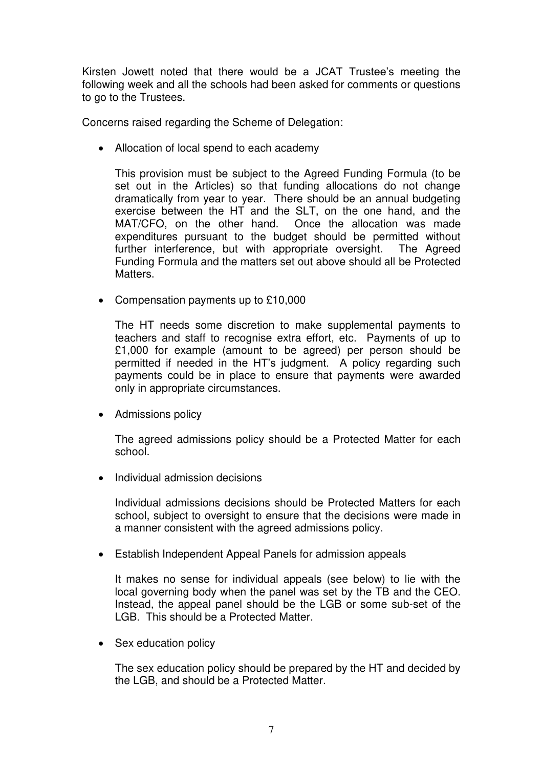Kirsten Jowett noted that there would be a JCAT Trustee's meeting the following week and all the schools had been asked for comments or questions to go to the Trustees.

Concerns raised regarding the Scheme of Delegation:

• Allocation of local spend to each academy

This provision must be subject to the Agreed Funding Formula (to be set out in the Articles) so that funding allocations do not change dramatically from year to year. There should be an annual budgeting exercise between the HT and the SLT, on the one hand, and the MAT/CFO, on the other hand. Once the allocation was made expenditures pursuant to the budget should be permitted without further interference, but with appropriate oversight. The Agreed Funding Formula and the matters set out above should all be Protected Matters.

• Compensation payments up to £10,000

The HT needs some discretion to make supplemental payments to teachers and staff to recognise extra effort, etc. Payments of up to £1,000 for example (amount to be agreed) per person should be permitted if needed in the HT's judgment. A policy regarding such payments could be in place to ensure that payments were awarded only in appropriate circumstances.

• Admissions policy

The agreed admissions policy should be a Protected Matter for each school.

Individual admission decisions

Individual admissions decisions should be Protected Matters for each school, subject to oversight to ensure that the decisions were made in a manner consistent with the agreed admissions policy.

Establish Independent Appeal Panels for admission appeals

It makes no sense for individual appeals (see below) to lie with the local governing body when the panel was set by the TB and the CEO. Instead, the appeal panel should be the LGB or some sub-set of the LGB. This should be a Protected Matter.

• Sex education policy

The sex education policy should be prepared by the HT and decided by the LGB, and should be a Protected Matter.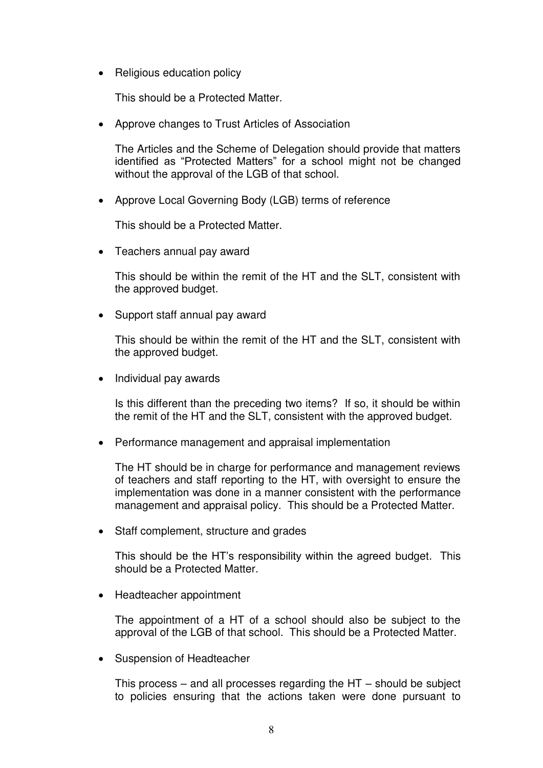• Religious education policy

This should be a Protected Matter.

Approve changes to Trust Articles of Association

The Articles and the Scheme of Delegation should provide that matters identified as "Protected Matters" for a school might not be changed without the approval of the LGB of that school.

Approve Local Governing Body (LGB) terms of reference

This should be a Protected Matter.

• Teachers annual pay award

This should be within the remit of the HT and the SLT, consistent with the approved budget.

• Support staff annual pay award

This should be within the remit of the HT and the SLT, consistent with the approved budget.

• Individual pay awards

Is this different than the preceding two items? If so, it should be within the remit of the HT and the SLT, consistent with the approved budget.

• Performance management and appraisal implementation

The HT should be in charge for performance and management reviews of teachers and staff reporting to the HT, with oversight to ensure the implementation was done in a manner consistent with the performance management and appraisal policy. This should be a Protected Matter.

• Staff complement, structure and grades

This should be the HT's responsibility within the agreed budget. This should be a Protected Matter.

• Headteacher appointment

The appointment of a HT of a school should also be subject to the approval of the LGB of that school. This should be a Protected Matter.

Suspension of Headteacher

This process – and all processes regarding the HT – should be subject to policies ensuring that the actions taken were done pursuant to